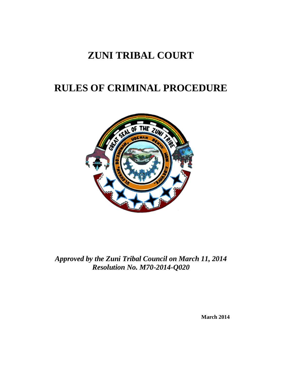# **ZUNI TRIBAL COURT**

# **RULES OF CRIMINAL PROCEDURE**



*Approved by the Zuni Tribal Council on March 11, 2014 Resolution No. M70-2014-Q020*

**March 2014**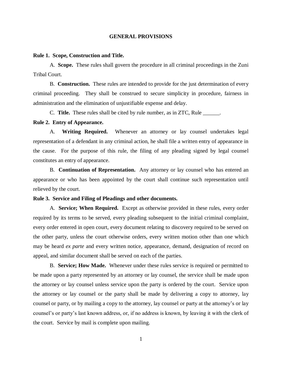#### **GENERAL PROVISIONS**

#### **Rule 1. Scope, Construction and Title.**

A. **Scope.** These rules shall govern the procedure in all criminal proceedings in the Zuni Tribal Court.

B. **Construction.** These rules are intended to provide for the just determination of every criminal proceeding. They shall be construed to secure simplicity in procedure, fairness in administration and the elimination of unjustifiable expense and delay.

C. **Title.** These rules shall be cited by rule number, as in ZTC, Rule \_\_\_\_\_\_.

# **Rule 2. Entry of Appearance.**

A. **Writing Required.** Whenever an attorney or lay counsel undertakes legal representation of a defendant in any criminal action, he shall file a written entry of appearance in the cause. For the purpose of this rule, the filing of any pleading signed by legal counsel constitutes an entry of appearance.

B. **Continuation of Representation.** Any attorney or lay counsel who has entered an appearance or who has been appointed by the court shall continue such representation until relieved by the court.

## **Rule 3. Service and Filing of Pleadings and other documents.**

A. **Service; When Required.** Except as otherwise provided in these rules, every order required by its terms to be served, every pleading subsequent to the initial criminal complaint, every order entered in open court, every document relating to discovery required to be served on the other party, unless the court otherwise orders, every written motion other than one which may be heard *ex parte* and every written notice, appearance, demand, designation of record on appeal, and similar document shall be served on each of the parties.

B. **Service; How Made.** Whenever under these rules service is required or permitted to be made upon a party represented by an attorney or lay counsel, the service shall be made upon the attorney or lay counsel unless service upon the party is ordered by the court. Service upon the attorney or lay counsel or the party shall be made by delivering a copy to attorney, lay counsel or party, or by mailing a copy to the attorney, lay counsel or party at the attorney's or lay counsel's or party's last known address, or, if no address is known, by leaving it with the clerk of the court. Service by mail is complete upon mailing.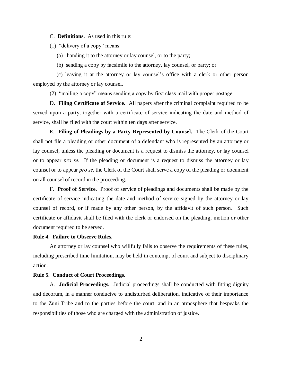C. **Definitions.** As used in this rule:

(1) "delivery of a copy" means:

(a) handing it to the attorney or lay counsel, or to the party;

(b) sending a copy by facsimile to the attorney, lay counsel, or party; or

 (c) leaving it at the attorney or lay counsel's office with a clerk or other person employed by the attorney or lay counsel.

(2) "mailing a copy" means sending a copy by first class mail with proper postage.

D. **Filing Certificate of Service.** All papers after the criminal complaint required to be served upon a party, together with a certificate of service indicating the date and method of service, shall be filed with the court within ten days after service.

E. **Filing of Pleadings by a Party Represented by Counsel.** The Clerk of the Court shall not file a pleading or other document of a defendant who is represented by an attorney or lay counsel, unless the pleading or document is a request to dismiss the attorney, or lay counsel or to appear *pro se.* If the pleading or document is a request to dismiss the attorney or lay counsel or to appear *pro se,* the Clerk of the Court shall serve a copy of the pleading or document on all counsel of record in the proceeding.

F. **Proof of Service.** Proof of service of pleadings and documents shall be made by the certificate of service indicating the date and method of service signed by the attorney or lay counsel of record, or if made by any other person, by the affidavit of such person. Such certificate or affidavit shall be filed with the clerk or endorsed on the pleading, motion or other document required to be served.

# **Rule 4. Failure to Observe Rules.**

An attorney or lay counsel who willfully fails to observe the requirements of these rules, including prescribed time limitation, may be held in contempt of court and subject to disciplinary action.

#### **Rule 5. Conduct of Court Proceedings.**

A. **Judicial Proceedings.** Judicial proceedings shall be conducted with fitting dignity and decorum, in a manner conducive to undisturbed deliberation, indicative of their importance to the Zuni Tribe and to the parties before the court, and in an atmosphere that bespeaks the responsibilities of those who are charged with the administration of justice.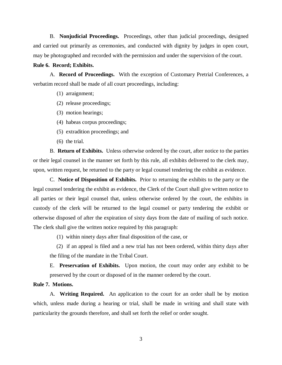B. **Nonjudicial Proceedings.** Proceedings, other than judicial proceedings, designed and carried out primarily as ceremonies, and conducted with dignity by judges in open court, may be photographed and recorded with the permission and under the supervision of the court.

## **Rule 6. Record; Exhibits.**

A. **Record of Proceedings.** With the exception of Customary Pretrial Conferences, a verbatim record shall be made of all court proceedings, including:

- (1) arraignment;
- (2) release proceedings;
- (3) motion hearings;
- (4) habeas corpus proceedings;
- (5) extradition proceedings; and
- (6) the trial.

B. **Return of Exhibits.** Unless otherwise ordered by the court, after notice to the parties or their legal counsel in the manner set forth by this rule, all exhibits delivered to the clerk may, upon, written request, be returned to the party or legal counsel tendering the exhibit as evidence.

C. **Notice of Disposition of Exhibits.** Prior to returning the exhibits to the party or the legal counsel tendering the exhibit as evidence, the Clerk of the Court shall give written notice to all parties or their legal counsel that, unless otherwise ordered by the court, the exhibits in custody of the clerk will be returned to the legal counsel or party tendering the exhibit or otherwise disposed of after the expiration of sixty days from the date of mailing of such notice. The clerk shall give the written notice required by this paragraph:

(1) within ninety days after final disposition of the case, or

 (2) if an appeal is filed and a new trial has not been ordered, within thirty days after the filing of the mandate in the Tribal Court.

E. **Preservation of Exhibits.** Upon motion, the court may order any exhibit to be preserved by the court or disposed of in the manner ordered by the court.

# **Rule 7. Motions.**

A. **Writing Required.** An application to the court for an order shall be by motion which, unless made during a hearing or trial, shall be made in writing and shall state with particularity the grounds therefore, and shall set forth the relief or order sought.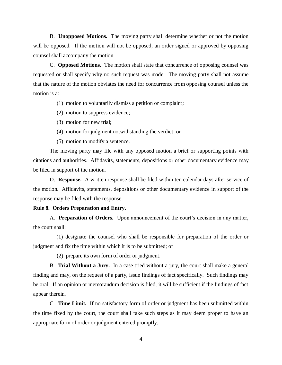B. **Unopposed Motions.** The moving party shall determine whether or not the motion will be opposed. If the motion will not be opposed, an order signed or approved by opposing counsel shall accompany the motion.

C. **Opposed Motions.** The motion shall state that concurrence of opposing counsel was requested or shall specify why no such request was made. The moving party shall not assume that the nature of the motion obviates the need for concurrence from opposing counsel unless the motion is a:

(1) motion to voluntarily dismiss a petition or complaint;

- (2) motion to suppress evidence;
- (3) motion for new trial;
- (4) motion for judgment notwithstanding the verdict; or
- (5) motion to modify a sentence.

The moving party may file with any opposed motion a brief or supporting points with citations and authorities. Affidavits, statements, depositions or other documentary evidence may be filed in support of the motion.

D. **Response.** A written response shall be filed within ten calendar days after service of the motion. Affidavits, statements, depositions or other documentary evidence in support of the response may be filed with the response.

## **Rule 8. Orders Preparation and Entry.**

A. **Preparation of Orders.** Upon announcement of the court's decision in any matter, the court shall:

 (1) designate the counsel who shall be responsible for preparation of the order or judgment and fix the time within which it is to be submitted; or

(2) prepare its own form of order or judgment.

B. **Trial Without a Jury.** In a case tried without a jury, the court shall make a general finding and may, on the request of a party, issue findings of fact specifically. Such findings may be oral. If an opinion or memorandum decision is filed, it will be sufficient if the findings of fact appear therein.

C. **Time Limit.** If no satisfactory form of order or judgment has been submitted within the time fixed by the court, the court shall take such steps as it may deem proper to have an appropriate form of order or judgment entered promptly.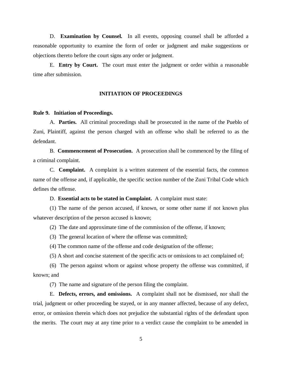D. **Examination by Counsel.** In all events, opposing counsel shall be afforded a reasonable opportunity to examine the form of order or judgment and make suggestions or objections thereto before the court signs any order or judgment.

E. **Entry by Court.** The court must enter the judgment or order within a reasonable time after submission.

## **INITIATION OF PROCEEDINGS**

#### **Rule 9. Initiation of Proceedings.**

A. **Parties.** All criminal proceedings shall be prosecuted in the name of the Pueblo of Zuni, Plaintiff, against the person charged with an offense who shall be referred to as the defendant.

B. **Commencement of Prosecution.** A prosecution shall be commenced by the filing of a criminal complaint.

C. **Complaint.** A complaint is a written statement of the essential facts, the common name of the offense and, if applicable, the specific section number of the Zuni Tribal Code which defines the offense.

D. **Essential acts to be stated in Complaint.** A complaint must state:

(1) The name of the person accused, if known, or some other name if not known plus whatever description of the person accused is known;

(2) The date and approximate time of the commission of the offense, if known;

(3) The general location of where the offense was committed;

(4) The common name of the offense and code designation of the offense;

(5) A short and concise statement of the specific acts or omissions to act complained of;

(6) The person against whom or against whose property the offense was committed, if known; and

(7) The name and signature of the person filing the complaint.

E. **Defects, errors, and omissions.** A complaint shall not be dismissed, nor shall the trial, judgment or other proceeding be stayed, or in any manner affected, because of any defect, error, or omission therein which does not prejudice the substantial rights of the defendant upon the merits. The court may at any time prior to a verdict cause the complaint to be amended in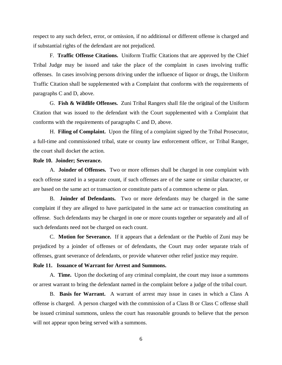respect to any such defect, error, or omission, if no additional or different offense is charged and if substantial rights of the defendant are not prejudiced.

F. **Traffic Offense Citations.** Uniform Traffic Citations that are approved by the Chief Tribal Judge may be issued and take the place of the complaint in cases involving traffic offenses. In cases involving persons driving under the influence of liquor or drugs, the Uniform Traffic Citation shall be supplemented with a Complaint that conforms with the requirements of paragraphs C and D, above.

G. **Fish & Wildlife Offenses.** Zuni Tribal Rangers shall file the original of the Uniform Citation that was issued to the defendant with the Court supplemented with a Complaint that conforms with the requirements of paragraphs C and D, above.

H. **Filing of Complaint.** Upon the filing of a complaint signed by the Tribal Prosecutor, a full-time and commissioned tribal, state or county law enforcement officer, or Tribal Ranger, the court shall docket the action.

# **Rule 10. Joinder; Severance.**

A. **Joinder of Offenses.** Two or more offenses shall be charged in one complaint with each offense stated in a separate count, if such offenses are of the same or similar character, or are based on the same act or transaction or constitute parts of a common scheme or plan.

B. **Joinder of Defendants.** Two or more defendants may be charged in the same complaint if they are alleged to have participated in the same act or transaction constituting an offense. Such defendants may be charged in one or more counts together or separately and all of such defendants need not be charged on each count.

C. **Motion for Severance.** If it appears that a defendant or the Pueblo of Zuni may be prejudiced by a joinder of offenses or of defendants, the Court may order separate trials of offenses, grant severance of defendants, or provide whatever other relief justice may require.

#### **Rule 11. Issuance of Warrant for Arrest and Summons.**

A. **Time.** Upon the docketing of any criminal complaint, the court may issue a summons or arrest warrant to bring the defendant named in the complaint before a judge of the tribal court.

B. **Basis for Warrant.** A warrant of arrest may issue in cases in which a Class A offense is charged. A person charged with the commission of a Class B or Class C offense shall be issued criminal summons, unless the court has reasonable grounds to believe that the person will not appear upon being served with a summons.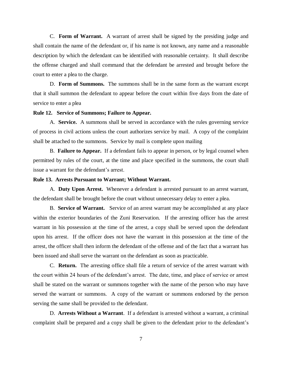C. **Form of Warrant.** A warrant of arrest shall be signed by the presiding judge and shall contain the name of the defendant or, if his name is not known, any name and a reasonable description by which the defendant can be identified with reasonable certainty. It shall describe the offense charged and shall command that the defendant be arrested and brought before the court to enter a plea to the charge.

D. **Form of Summons.** The summons shall be in the same form as the warrant except that it shall summon the defendant to appear before the court within five days from the date of service to enter a plea

## **Rule 12. Service of Summons; Failure to Appear.**

A. **Service.** A summons shall be served in accordance with the rules governing service of process in civil actions unless the court authorizes service by mail. A copy of the complaint shall be attached to the summons. Service by mail is complete upon mailing

B. **Failure to Appear.** If a defendant fails to appear in person, or by legal counsel when permitted by rules of the court, at the time and place specified in the summons, the court shall issue a warrant for the defendant's arrest.

## **Rule 13. Arrests Pursuant to Warrant; Without Warrant.**

A. **Duty Upon Arrest.** Whenever a defendant is arrested pursuant to an arrest warrant, the defendant shall be brought before the court without unnecessary delay to enter a plea.

B. **Service of Warrant.** Service of an arrest warrant may be accomplished at any place within the exterior boundaries of the Zuni Reservation. If the arresting officer has the arrest warrant in his possession at the time of the arrest, a copy shall be served upon the defendant upon his arrest. If the officer does not have the warrant in this possession at the time of the arrest, the officer shall then inform the defendant of the offense and of the fact that a warrant has been issued and shall serve the warrant on the defendant as soon as practicable.

C. **Return.** The arresting office shall file a return of service of the arrest warrant with the court within 24 hours of the defendant's arrest. The date, time, and place of service or arrest shall be stated on the warrant or summons together with the name of the person who may have served the warrant or summons. A copy of the warrant or summons endorsed by the person serving the same shall be provided to the defendant.

D. **Arrests Without a Warrant**. If a defendant is arrested without a warrant, a criminal complaint shall be prepared and a copy shall be given to the defendant prior to the defendant's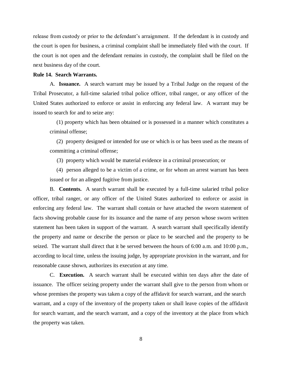release from custody or prior to the defendant's arraignment. If the defendant is in custody and the court is open for business, a criminal complaint shall be immediately filed with the court. If the court is not open and the defendant remains in custody, the complaint shall be filed on the next business day of the court.

## **Rule 14. Search Warrants.**

A. **Issuance.** A search warrant may be issued by a Tribal Judge on the request of the Tribal Prosecutor, a full-time salaried tribal police officer, tribal ranger, or any officer of the United States authorized to enforce or assist in enforcing any federal law. A warrant may be issued to search for and to seize any:

(1) property which has been obtained or is possessed in a manner which constitutes a criminal offense;

 (2) property designed or intended for use or which is or has been used as the means of committing a criminal offense;

(3) property which would be material evidence in a criminal prosecution; or

 (4) person alleged to be a victim of a crime, or for whom an arrest warrant has been issued or for an alleged fugitive from justice.

B. **Contents.** A search warrant shall be executed by a full-time salaried tribal police officer, tribal ranger, or any officer of the United States authorized to enforce or assist in enforcing any federal law. The warrant shall contain or have attached the sworn statement of facts showing probable cause for its issuance and the name of any person whose sworn written statement has been taken in support of the warrant. A search warrant shall specifically identify the property and name or describe the person or place to be searched and the property to be seized. The warrant shall direct that it be served between the hours of 6:00 a.m. and 10:00 p.m., according to local time, unless the issuing judge, by appropriate provision in the warrant, and for reasonable cause shown, authorizes its execution at any time.

C. **Execution.** A search warrant shall be executed within ten days after the date of issuance. The officer seizing property under the warrant shall give to the person from whom or whose premises the property was taken a copy of the affidavit for search warrant, and the search warrant, and a copy of the inventory of the property taken or shall leave copies of the affidavit for search warrant, and the search warrant, and a copy of the inventory at the place from which the property was taken.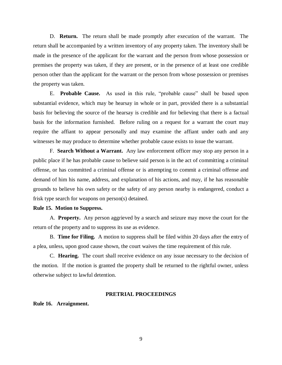D. **Return.** The return shall be made promptly after execution of the warrant. The return shall be accompanied by a written inventory of any property taken. The inventory shall be made in the presence of the applicant for the warrant and the person from whose possession or premises the property was taken, if they are present, or in the presence of at least one credible person other than the applicant for the warrant or the person from whose possession or premises the property was taken.

E. **Probable Cause.** As used in this rule, "probable cause" shall be based upon substantial evidence, which may be hearsay in whole or in part, provided there is a substantial basis for believing the source of the hearsay is credible and for believing that there is a factual basis for the information furnished. Before ruling on a request for a warrant the court may require the affiant to appear personally and may examine the affiant under oath and any witnesses he may produce to determine whether probable cause exists to issue the warrant.

F. **Search Without a Warrant.** Any law enforcement officer may stop any person in a public place if he has probable cause to believe said person is in the act of committing a criminal offense, or has committed a criminal offense or is attempting to commit a criminal offense and demand of him his name, address, and explanation of his actions, and may, if he has reasonable grounds to believe his own safety or the safety of any person nearby is endangered, conduct a frisk type search for weapons on person(s) detained.

## **Rule 15. Motion to Suppress.**

A. **Property.** Any person aggrieved by a search and seizure may move the court for the return of the property and to suppress its use as evidence.

B. **Time for Filing.** A motion to suppress shall be filed within 20 days after the entry of a plea, unless, upon good cause shown, the court waives the time requirement of this rule.

C. **Hearing.** The court shall receive evidence on any issue necessary to the decision of the motion. If the motion is granted the property shall be returned to the rightful owner, unless otherwise subject to lawful detention.

#### **PRETRIAL PROCEEDINGS**

# **Rule 16. Arraignment.**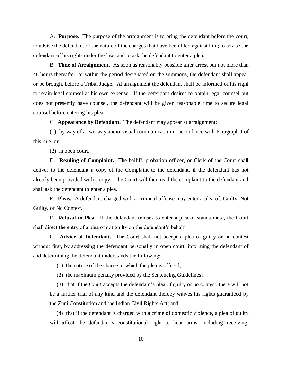A. **Purpose.** The purpose of the arraignment is to bring the defendant before the court; to advise the defendant of the nature of the charges that have been filed against him; to advise the defendant of his rights under the law; and to ask the defendant to enter a plea.

B. **Time of Arraignment.** As soon as reasonably possible after arrest but not more than 48 hours thereafter, or within the period designated on the summons, the defendant shall appear or be brought before a Tribal Judge. At arraignment the defendant shall be informed of his right to retain legal counsel at his own expense. If the defendant desires to obtain legal counsel but does not presently have counsel, the defendant will be given reasonable time to secure legal counsel before entering his plea.

C. **Appearance by Defendant.** The defendant may appear at arraignment:

(1) by way of a two way audio-visual communication in accordance with Paragraph J of this rule; or

(2) in open court.

D. **Reading of Complaint.** The bailiff, probation officer, or Clerk of the Court shall deliver to the defendant a copy of the Complaint to the defendant, if the defendant has not already been provided with a copy. The Court will then read the complaint to the defendant and shall ask the defendant to enter a plea.

E. **Pleas.** A defendant charged with a criminal offense may enter a plea of: Guilty, Not Guilty, or No Contest.

F. **Refusal to Plea.** If the defendant refuses to enter a plea or stands mute, the Court shall direct the entry of a plea of not guilty on the defendant's behalf.

G. **Advice of Defendant.** The Court shall not accept a plea of guilty or no contest without first, by addressing the defendant personally in open court, informing the defendant of and determining the defendant understands the following:

(1) the nature of the charge to which the plea is offered;

(2) the maximum penalty provided by the Sentencing Guidelines;

 (3) that if the Court accepts the defendant's plea of guilty or no contest, there will not be a further trial of any kind and the defendant thereby waives his rights guaranteed by the Zuni Constitution and the Indian Civil Rights Act; and

 (4) that if the defendant is charged with a crime of domestic violence, a plea of guilty will affect the defendant's constitutional right to bear arms, including receiving,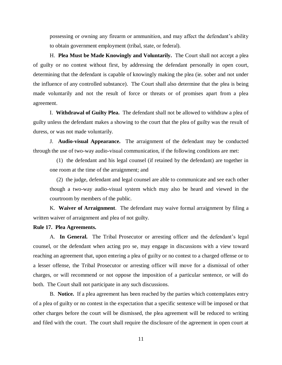possessing or owning any firearm or ammunition, and may affect the defendant's ability to obtain government employment (tribal, state, or federal).

H. **Plea Must be Made Knowingly and Voluntarily.** The Court shall not accept a plea of guilty or no contest without first, by addressing the defendant personally in open court, determining that the defendant is capable of knowingly making the plea (ie. sober and not under the influence of any controlled substance). The Court shall also determine that the plea is being made voluntarily and not the result of force or threats or of promises apart from a plea agreement.

I. **Withdrawal of Guilty Plea.** The defendant shall not be allowed to withdraw a plea of guilty unless the defendant makes a showing to the court that the plea of guilty was the result of duress, or was not made voluntarily.

J. **Audio-visual Appearance.** The arraignment of the defendant may be conducted through the use of two-way audio-visual communication, if the following conditions are met:

 (1) the defendant and his legal counsel (if retained by the defendant) are together in one room at the time of the arraignment; and

 (2) the judge, defendant and legal counsel are able to communicate and see each other though a two-way audio-visual system which may also be heard and viewed in the courtroom by members of the public.

K. **Waiver of Arraignment**. The defendant may waive formal arraignment by filing a written waiver of arraignment and plea of not guilty.

## **Rule 17. Plea Agreements.**

A. **In General.** The Tribal Prosecutor or arresting officer and the defendant's legal counsel, or the defendant when acting pro se, may engage in discussions with a view toward reaching an agreement that, upon entering a plea of guilty or no contest to a charged offense or to a lesser offense, the Tribal Prosecutor or arresting officer will move for a dismissal of other charges, or will recommend or not oppose the imposition of a particular sentence, or will do both. The Court shall not participate in any such discussions.

B. **Notice.** If a plea agreement has been reached by the parties which contemplates entry of a plea of guilty or no contest in the expectation that a specific sentence will be imposed or that other charges before the court will be dismissed, the plea agreement will be reduced to writing and filed with the court. The court shall require the disclosure of the agreement in open court at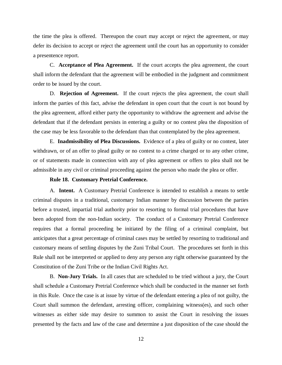the time the plea is offered. Thereupon the court may accept or reject the agreement, or may defer its decision to accept or reject the agreement until the court has an opportunity to consider a presentence report.

C. **Acceptance of Plea Agreement.** If the court accepts the plea agreement, the court shall inform the defendant that the agreement will be embodied in the judgment and commitment order to be issued by the court.

D. **Rejection of Agreement.** If the court rejects the plea agreement, the court shall inform the parties of this fact, advise the defendant in open court that the court is not bound by the plea agreement, afford either party the opportunity to withdraw the agreement and advise the defendant that if the defendant persists in entering a guilty or no contest plea the disposition of the case may be less favorable to the defendant than that contemplated by the plea agreement.

E. **Inadmissibility of Plea Discussions.** Evidence of a plea of guilty or no contest, later withdrawn, or of an offer to plead guilty or no contest to a crime charged or to any other crime, or of statements made in connection with any of plea agreement or offers to plea shall not be admissible in any civil or criminal proceeding against the person who made the plea or offer.

### **Rule 18. Customary Pretrial Conference.**

A. **Intent.** A Customary Pretrial Conference is intended to establish a means to settle criminal disputes in a traditional, customary Indian manner by discussion between the parties before a trusted, impartial trial authority prior to resorting to formal trial procedures that have been adopted from the non-Indian society. The conduct of a Customary Pretrial Conference requires that a formal proceeding be initiated by the filing of a criminal complaint, but anticipates that a great percentage of criminal cases may be settled by resorting to traditional and customary means of settling disputes by the Zuni Tribal Court. The procedures set forth in this Rule shall not be interpreted or applied to deny any person any right otherwise guaranteed by the Constitution of the Zuni Tribe or the Indian Civil Rights Act.

B. **Non-Jury Trials.** In all cases that are scheduled to be tried without a jury, the Court shall schedule a Customary Pretrial Conference which shall be conducted in the manner set forth in this Rule. Once the case is at issue by virtue of the defendant entering a plea of not guilty, the Court shall summon the defendant, arresting officer, complaining witness(es), and such other witnesses as either side may desire to summon to assist the Court in resolving the issues presented by the facts and law of the case and determine a just disposition of the case should the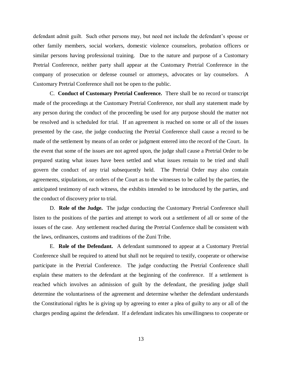defendant admit guilt. Such other persons may, but need not include the defendant's spouse or other family members, social workers, domestic violence counselors, probation officers or similar persons having professional training. Due to the nature and purpose of a Customary Pretrial Conference, neither party shall appear at the Customary Pretrial Conference in the company of prosecution or defense counsel or attorneys, advocates or lay counselors. A Customary Pretrial Conference shall not be open to the public.

C. **Conduct of Customary Pretrial Conference.** There shall be no record or transcript made of the proceedings at the Customary Pretrial Conference, nor shall any statement made by any person during the conduct of the proceeding be used for any purpose should the matter not be resolved and is scheduled for trial. If an agreement is reached on some or all of the issues presented by the case, the judge conducting the Pretrial Conference shall cause a record to be made of the settlement by means of an order or judgment entered into the record of the Court. In the event that some of the issues are not agreed upon, the judge shall cause a Pretrial Order to be prepared stating what issues have been settled and what issues remain to be tried and shall govern the conduct of any trial subsequently held. The Pretrial Order may also contain agreements, stipulations, or orders of the Court as to the witnesses to be called by the parties, the anticipated testimony of each witness, the exhibits intended to be introduced by the parties, and the conduct of discovery prior to trial.

D. **Role of the Judge.** The judge conducting the Customary Pretrial Conference shall listen to the positions of the parties and attempt to work out a settlement of all or some of the issues of the case. Any settlement reached during the Pretrial Confernce shall be consistent with the laws, ordinances, customs and traditions of the Zuni Tribe.

E. **Role of the Defendant.** A defendant summoned to appear at a Customary Pretrial Conference shall be required to attend but shall not be required to testify, cooperate or otherwise participate in the Pretrial Conference. The judge conducting the Pretrial Conference shall explain these matters to the defendant at the beginning of the conference. If a settlement is reached which involves an admission of guilt by the defendant, the presiding judge shall determine the voluntariness of the agreement and determine whether the defendant understands the Constitutional rights he is giving up by agreeing to enter a plea of guilty to any or all of the charges pending against the defendant. If a defendant indicates his unwillingness to cooperate or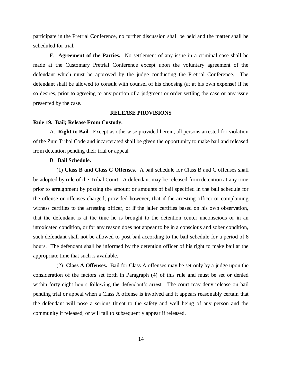participate in the Pretrial Conference, no further discussion shall be held and the matter shall be scheduled for trial.

F. **Agreement of the Parties.** No settlement of any issue in a criminal case shall be made at the Customary Pretrial Conference except upon the voluntary agreement of the defendant which must be approved by the judge conducting the Pretrial Conference. The defendant shall be allowed to consult with counsel of his choosing (at at his own expense) if he so desires, prior to agreeing to any portion of a judgment or order settling the case or any issue presented by the case.

## **RELEASE PROVISIONS**

#### **Rule 19. Bail; Release From Custody.**

A. **Right to Bail.** Except as otherwise provided herein, all persons arrested for violation of the Zuni Tribal Code and incarcerated shall be given the opportunity to make bail and released from detention pending their trial or appeal.

# B. **Bail Schedule.**

(1) **Class B and Class C Offenses.** A bail schedule for Class B and C offenses shall be adopted by rule of the Tribal Court. A defendant may be released from detention at any time prior to arraignment by posting the amount or amounts of bail specified in the bail schedule for the offense or offenses charged; provided however, that if the arresting officer or complaining witness certifies to the arresting officer, or if the jailer certifies based on his own observation, that the defendant is at the time he is brought to the detention center unconscious or in an intoxicated condition, or for any reason does not appear to be in a conscious and sober condition, such defendant shall not be allowed to post bail according to the bail schedule for a period of 8 hours. The defendant shall be informed by the detention officer of his right to make bail at the appropriate time that such is available.

 (2) **Class A Offenses.** Bail for Class A offenses may be set only by a judge upon the consideration of the factors set forth in Paragraph (4) of this rule and must be set or denied within forty eight hours following the defendant's arrest. The court may deny release on bail pending trial or appeal when a Class A offense is involved and it appears reasonably certain that the defendant will pose a serious threat to the safety and well being of any person and the community if released, or will fail to subsequently appear if released.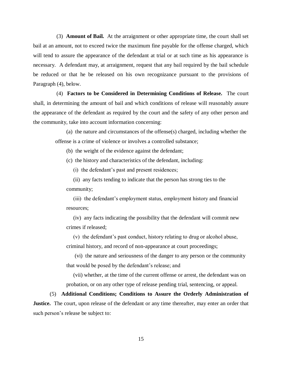(3) **Amount of Bail.** At the arraignment or other appropriate time, the court shall set bail at an amount, not to exceed twice the maximum fine payable for the offense charged, which will tend to assure the appearance of the defendant at trial or at such time as his appearance is necessary. A defendant may, at arraignment, request that any bail required by the bail schedule be reduced or that he be released on his own recognizance pursuant to the provisions of Paragraph (4), below.

 (4) **Factors to be Considered in Determining Conditions of Release.** The court shall, in determining the amount of bail and which conditions of release will reasonably assure the appearance of the defendant as required by the court and the safety of any other person and the community, take into account information concerning:

(a) the nature and circumstances of the offense(s) charged, including whether the offense is a crime of violence or involves a controlled substance;

(b) the weight of the evidence against the defendant;

(c) the history and characteristics of the defendant, including:

(i) the defendant's past and present residences;

 (ii) any facts tending to indicate that the person has strong ties to the community;

 (iii) the defendant's employment status, employment history and financial resources;

 (iv) any facts indicating the possibility that the defendant will commit new crimes if released;

 (v) the defendant's past conduct, history relating to drug or alcohol abuse, criminal history, and record of non-appearance at court proceedings;

 (vi) the nature and seriousness of the danger to any person or the community that would be posed by the defendant's release; and

 (vii) whether, at the time of the current offense or arrest, the defendant was on probation, or on any other type of release pending trial, sentencing, or appeal.

(5) **Additional Conditions; Conditions to Assure the Orderly Administration of Justice.** The court, upon release of the defendant or any time thereafter, may enter an order that such person's release be subject to: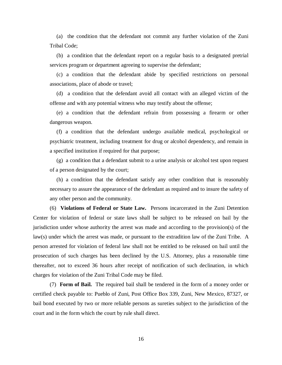(a) the condition that the defendant not commit any further violation of the Zuni Tribal Code;

 (b) a condition that the defendant report on a regular basis to a designated pretrial services program or department agreeing to supervise the defendant;

 (c) a condition that the defendant abide by specified restrictions on personal associations, place of abode or travel;

 (d) a condition that the defendant avoid all contact with an alleged victim of the offense and with any potential witness who may testify about the offense;

 (e) a condition that the defendant refrain from possessing a firearm or other dangerous weapon.

 (f) a condition that the defendant undergo available medical, psychological or psychiatric treatment, including treatment for drug or alcohol dependency, and remain in a specified institution if required for that purpose;

 (g) a condition that a defendant submit to a urine analysis or alcohol test upon request of a person designated by the court;

 (h) a condition that the defendant satisfy any other condition that is reasonably necessary to assure the appearance of the defendant as required and to insure the safety of any other person and the community.

(6) **Violations of Federal or State Law.** Persons incarcerated in the Zuni Detention Center for violation of federal or state laws shall be subject to be released on bail by the jurisdiction under whose authority the arrest was made and according to the provision(s) of the law(s) under which the arrest was made, or pursuant to the extradition law of the Zuni Tribe. A person arrested for violation of federal law shall not be entitled to be released on bail until the prosecution of such charges has been declined by the U.S. Attorney, plus a reasonable time thereafter, not to exceed 36 hours after receipt of notification of such declination, in which charges for violation of the Zuni Tribal Code may be filed.

(7) **Form of Bail.** The required bail shall be tendered in the form of a money order or certified check payable to: Pueblo of Zuni, Post Office Box 339, Zuni, New Mexico, 87327, or bail bond executed by two or more reliable persons as sureties subject to the jurisdiction of the court and in the form which the court by rule shall direct.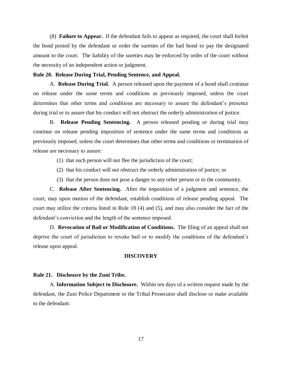(8) **Failure to Appear.** If the defendant fails to appear as required, the court shall forfeit the bond posted by the defendant or order the sureties of the bail bond to pay the designated amount to the court. The liability of the sureties may be enforced by order of the court without the necessity of an independent action or judgment.

# **Rule 20. Release During Trial, Pending Sentence, and Appeal.**

A. **Release During Trial.** A person released upon the payment of a bond shall continue on release under the same terms and conditions as previously imposed, unless the court determines that other terms and conditions are necessary to assure the defendant's presence during trial or to assure that his conduct will not obstruct the orderly administration of justice.

B. **Release Pending Sentencing.** A person released pending or during trial may continue on release pending imposition of sentence under the same terms and conditions as previously imposed, unless the court determines that other terms and conditions or termination of release are necessary to assure:

- (1) that such person will not flee the jurisdiction of the court;
- (2) that his conduct will not obstruct the orderly administration of justice; or
- (3) that the person does not pose a danger to any other person or to the community.

C. **Release After Sentencing.** After the imposition of a judgment and sentence, the court, may upon motion of the defendant, establish conditions of release pending appeal. The court may utilize the criteria listed in Rule 18 (4) and (5), and may also consider the fact of the defendant's conviction and the length of the sentence imposed.

D. **Revocation of Bail or Modification of Conditions.** The filing of an appeal shall not deprive the court of jurisdiction to revoke bail or to modify the conditions of the defendant's release upon appeal.

## **DISCOVERY**

#### **Rule 21. Disclosure by the Zuni Tribe.**

A. **Information Subject to Disclosure.** Within ten days of a written request made by the defendant, the Zuni Police Department or the Tribal Prosecutor shall disclose or make available to the defendant: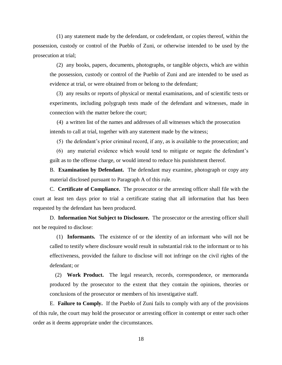(1) any statement made by the defendant, or codefendant, or copies thereof, within the possession, custody or control of the Pueblo of Zuni, or otherwise intended to be used by the prosecution at trial;

 (2) any books, papers, documents, photographs, or tangible objects, which are within the possession, custody or control of the Pueblo of Zuni and are intended to be used as evidence at trial, or were obtained from or belong to the defendant;

 (3) any results or reports of physical or mental examinations, and of scientific tests or experiments, including polygraph tests made of the defendant and witnesses, made in connection with the matter before the court;

 (4) a written list of the names and addresses of all witnesses which the prosecution intends to call at trial, together with any statement made by the witness;

(5) the defendant's prior criminal record, if any, as is available to the prosecution; and

 (6) any material evidence which would tend to mitigate or negate the defendant's guilt as to the offense charge, or would intend to reduce his punishment thereof.

B. **Examination by Defendant.** The defendant may examine, photograph or copy any material disclosed pursuant to Paragraph A of this rule.

C. **Certificate of Compliance.** The prosecutor or the arresting officer shall file with the court at least ten days prior to trial a certificate stating that all information that has been requested by the defendant has been produced.

D. **Information Not Subject to Disclosure.** The prosecutor or the arresting officer shall not be required to disclose:

 (1) **Informants.** The existence of or the identity of an informant who will not be called to testify where disclosure would result in substantial risk to the informant or to his effectiveness, provided the failure to disclose will not infringe on the civil rights of the defendant; or

 (2) **Work Product.** The legal research, records, correspondence, or memoranda produced by the prosecutor to the extent that they contain the opinions, theories or conclusions of the prosecutor or members of his investigative staff.

E. **Failure to Comply.** If the Pueblo of Zuni fails to comply with any of the provisions of this rule, the court may hold the prosecutor or arresting officer in contempt or enter such other order as it deems appropriate under the circumstances.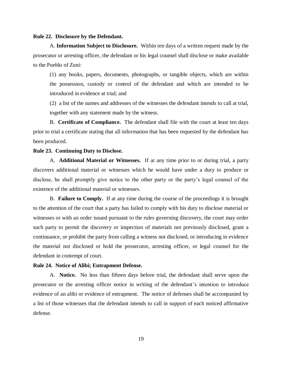#### **Rule 22. Disclosure by the Defendant.**

A. **Information Subject to Disclosure.** Within ten days of a written request made by the prosecutor or arresting officer, the defendant or his legal counsel shall disclose or make available to the Pueblo of Zuni:

(1) any books, papers, documents, photographs, or tangible objects, which are within the possession, custody or control of the defendant and which are intended to be introduced in evidence at trial; and

(2) a list of the names and addresses of the witnesses the defendant intends to call at trial, together with any statement made by the witness.

B. **Certificate of Compliance.** The defendant shall file with the court at least ten days prior to trial a certificate stating that all information that has been requested by the defendant has been produced.

## **Rule 23. Continuing Duty to Disclose.**

A. **Additional Material or Witnesses.** If at any time prior to or during trial, a party discovers additional material or witnesses which he would have under a duty to produce or disclose, he shall promptly give notice to the other party or the party's legal counsel of the existence of the additional material or witnesses.

B. **Failure to Comply.** If at any time during the course of the proceedings it is brought to the attention of the court that a party has failed to comply with his duty to disclose material or witnesses or with an order issued pursuant to the rules governing discovery, the court may order such party to permit the discovery or inspection of materials not previously disclosed, grant a continuance, or prohibit the party from calling a witness not disclosed, or introducing in evidence the material not disclosed or hold the prosecutor, arresting officer, or legal counsel for the defendant in contempt of court.

#### **Rule 24. Notice of Alibi; Entrapment Defense.**

A. **Notice.** No less than fifteen days before trial, the defendant shall serve upon the prosecutor or the arresting officer notice in writing of the defendant's intention to introduce evidence of an alibi or evidence of entrapment. The notice of defenses shall be accompanied by a list of those witnesses that the defendant intends to call in support of each noticed affirmative defense.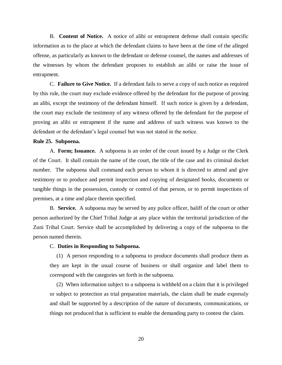B. **Content of Notice.** A notice of alibi or entrapment defense shall contain specific information as to the place at which the defendant claims to have been at the time of the alleged offense, as particularly as known to the defendant or defense counsel, the names and addresses of the witnesses by whom the defendant proposes to establish an alibi or raise the issue of entrapment.

C. **Failure to Give Notice.** If a defendant fails to serve a copy of such notice as required by this rule, the court may exclude evidence offered by the defendant for the purpose of proving an alibi, except the testimony of the defendant himself. If such notice is given by a defendant, the court may exclude the testimony of any witness offered by the defendant for the purpose of proving an alibi or entrapment if the name and address of such witness was known to the defendant or the defendant's legal counsel but was not stated in the notice.

#### **Rule 25. Subpoena.**

A. **Form; Issuance.** A subpoena is an order of the court issued by a Judge or the Clerk of the Court. It shall contain the name of the court, the title of the case and its criminal docket number. The subpoena shall command each person to whom it is directed to attend and give testimony or to produce and permit inspection and copying of designated books, documents or tangible things in the possession, custody or control of that person, or to permit inspections of premises, at a time and place therein specified.

B. **Service.** A subpoena may be served by any police officer, baliff of the court or other person authorized by the Chief Tribal Judge at any place within the territorial jurisdiction of the Zuni Tribal Court. Service shall be accomplished by delivering a copy of the subpoena to the person named therein.

#### C. **Duties in Responding to Subpoena.**

(1) A person responding to a subpoena to produce documents shall produce them as they are kept in the usual course of business or shall organize and label them to correspond with the categories set forth in the subpoena.

 (2) When information subject to a subpoena is withheld on a claim that it is privileged or subject to protection as trial preparation materials, the claim shall be made expressly and shall be supported by a description of the nature of documents, communications, or things not produced that is sufficient to enable the demanding party to contest the claim.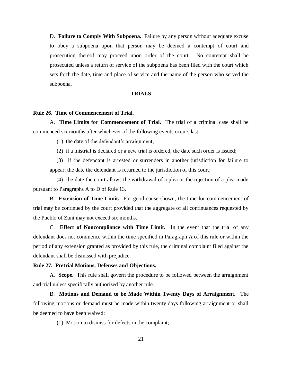D. **Failure to Comply With Subpoena.** Failure by any person without adequate excuse to obey a subpoena upon that person may be deemed a contempt of court and prosecution thereof may proceed upon order of the court. No contempt shall be prosecuted unless a return of service of the subpoena has been filed with the court which sets forth the date, time and place of service and the name of the person who served the subpoena.

## **TRIALS**

# **Rule 26. Time of Commencement of Trial.**

A. **Time Limits for Commencement of Trial.** The trial of a criminal case shall be commenced six months after whichever of the following events occurs last:

(1) the date of the defendant's arraignment;

(2) if a mistrial is declared or a new trial is ordered, the date such order is issued;

 (3) if the defendant is arrested or surrenders in another jurisdiction for failure to appear, the date the defendant is returned to the jurisdiction of this court;

 (4) the date the court allows the withdrawal of a plea or the rejection of a plea made pursuant to Paragraphs A to D of Rule 13.

B. **Extension of Time Limit.** For good cause shown, the time for commencement of trial may be continued by the court provided that the aggregate of all continuances requested by the Pueblo of Zuni may not exceed six months.

C. **Effect of Noncompliance with Time Limit.** In the event that the trial of any defendant does not commence within the time specified in Paragraph A of this rule or within the period of any extension granted as provided by this rule, the criminal complaint filed against the defendant shall be dismissed with prejudice.

#### **Rule 27. Pretrial Motions, Defenses and Objections.**

A. **Scope.** This rule shall govern the procedure to be followed between the arraignment and trial unless specifically authorized by another rule.

B. **Motions and Demand to be Made Within Twenty Days of Arraignment.** The following motions or demand must be made within twenty days following arraignment or shall be deemed to have been waived:

(1) Motion to dismiss for defects in the complaint;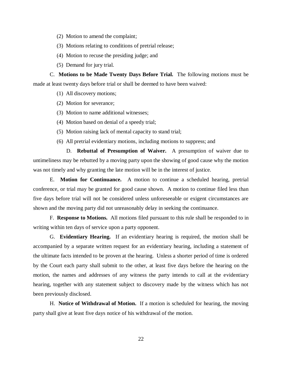- (2) Motion to amend the complaint;
- (3) Motions relating to conditions of pretrial release;
- (4) Motion to recuse the presiding judge; and
- (5) Demand for jury trial.

C. **Motions to be Made Twenty Days Before Trial.** The following motions must be made at least twenty days before trial or shall be deemed to have been waived:

- (1) All discovery motions;
- (2) Motion for severance;
- (3) Motion to name additional witnesses;
- (4) Motion based on denial of a speedy trial;
- (5) Motion raising lack of mental capacity to stand trial;
- (6) All pretrial evidentiary motions, including motions to suppress; and

D. **Rebuttal of Presumption of Waiver.** A presumption of waiver due to untimeliness may be rebutted by a moving party upon the showing of good cause why the motion was not timely and why granting the late motion will be in the interest of justice.

E. **Motion for Continuance.** A motion to continue a scheduled hearing, pretrial conference, or trial may be granted for good cause shown. A motion to continue filed less than five days before trial will not be considered unless unforeseeable or exigent circumstances are shown and the moving party did not unreasonably delay in seeking the continuance.

F. **Response to Motions.** All motions filed pursuant to this rule shall be responded to in writing within ten days of service upon a party opponent.

G. **Evidentiary Hearing.** If an evidentiary hearing is required, the motion shall be accompanied by a separate written request for an evidentiary hearing, including a statement of the ultimate facts intended to be proven at the hearing. Unless a shorter period of time is ordered by the Court each party shall submit to the other, at least five days before the hearing on the motion, the names and addresses of any witness the party intends to call at the evidentiary hearing, together with any statement subject to discovery made by the witness which has not been previously disclosed.

H. **Notice of Withdrawal of Motion.** If a motion is scheduled for hearing, the moving party shall give at least five days notice of his withdrawal of the motion.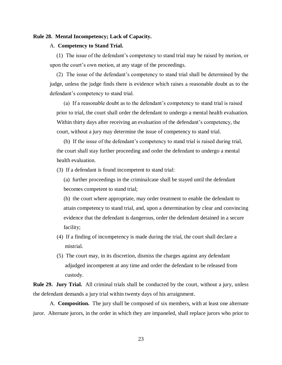## **Rule 28. Mental Incompetency; Lack of Capacity.**

#### A. **Competency to Stand Trial.**

(1) The issue of the defendant's competency to stand trial may be raised by motion, or upon the court's own motion, at any stage of the proceedings.

 (2) The issue of the defendant's competency to stand trial shall be determined by the judge, unless the judge finds there is evidence which raises a reasonable doubt as to the defendant's competency to stand trial.

 (a) If a reasonable doubt as to the defendant's competency to stand trial is raised prior to trial, the court shall order the defendant to undergo a mental health evaluation. Within thirty days after receiving an evaluation of the defendant's competency, the court, without a jury may determine the issue of competency to stand trial.

 (b) If the issue of the defendant's competency to stand trial is raised during trial, the court shall stay further proceeding and order the defendant to undergo a mental health evaluation.

(3) If a defendant is found incompetent to stand trial:

 (a) further proceedings in the criminalcase shall be stayed until the defendant becomes competent to stand trial;

 (b) the court where appropriate, may order treatment to enable the defendant to attain competency to stand trial, and, upon a determination by clear and convincing evidence that the defendant is dangerous, order the defendant detained in a secure facility;

- (4) If a finding of incompetency is made during the trial, the court shall declare a mistrial.
- (5) The court may, in its discretion, dismiss the charges against any defendant adjudged incompetent at any time and order the defendant to be released from custody.

**Rule 29. Jury Trial.** All criminal trials shall be conducted by the court, without a jury, unless the defendant demands a jury trial within twenty days of his arraignment.

A. **Composition.** The jury shall be composed of six members, with at least one alternate juror. Alternate jurors, in the order in which they are impaneled, shall replace jurors who prior to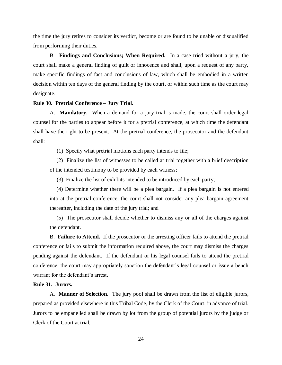the time the jury retires to consider its verdict, become or are found to be unable or disqualified from performing their duties.

B. **Findings and Conclusions; When Required.** In a case tried without a jury, the court shall make a general finding of guilt or innocence and shall, upon a request of any party, make specific findings of fact and conclusions of law, which shall be embodied in a written decision within ten days of the general finding by the court, or within such time as the court may designate.

## **Rule 30. Pretrial Conference – Jury Trial.**

A. **Mandatory.** When a demand for a jury trial is made, the court shall order legal counsel for the parties to appear before it for a pretrial conference, at which time the defendant shall have the right to be present. At the pretrial conference, the prosecutor and the defendant shall:

(1) Specify what pretrial motions each party intends to file;

 (2) Finalize the list of witnesses to be called at trial together with a brief description of the intended testimony to be provided by each witness;

(3) Finalize the list of exhibits intended to be introduced by each party;

 (4) Determine whether there will be a plea bargain. If a plea bargain is not entered into at the pretrial conference, the court shall not consider any plea bargain agreement thereafter, including the date of the jury trial; and

 (5) The prosecutor shall decide whether to dismiss any or all of the charges against the defendant.

B. **Failure to Attend.** If the prosecutor or the arresting officer fails to attend the pretrial conference or fails to submit the information required above, the court may dismiss the charges pending against the defendant. If the defendant or his legal counsel fails to attend the pretrial conference, the court may appropriately sanction the defendant's legal counsel or issue a bench warrant for the defendant's arrest.

# **Rule 31. Jurors.**

A. **Manner of Selection.** The jury pool shall be drawn from the list of eligible jurors, prepared as provided elsewhere in this Tribal Code, by the Clerk of the Court, in advance of trial. Jurors to be empanelled shall be drawn by lot from the group of potential jurors by the judge or Clerk of the Court at trial.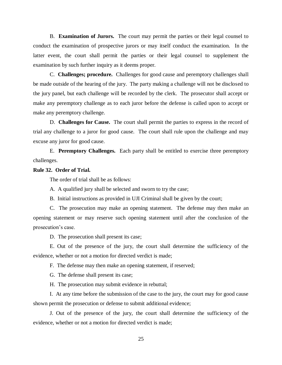B. **Examination of Jurors.** The court may permit the parties or their legal counsel to conduct the examination of prospective jurors or may itself conduct the examination. In the latter event, the court shall permit the parties or their legal counsel to supplement the examination by such further inquiry as it deems proper.

C. **Challenges; procedure.** Challenges for good cause and peremptory challenges shall be made outside of the hearing of the jury. The party making a challenge will not be disclosed to the jury panel, but each challenge will be recorded by the clerk. The prosecutor shall accept or make any peremptory challenge as to each juror before the defense is called upon to accept or make any peremptory challenge.

D. **Challenges for Cause.** The court shall permit the parties to express in the record of trial any challenge to a juror for good cause. The court shall rule upon the challenge and may excuse any juror for good cause.

E. **Peremptory Challenges.** Each party shall be entitled to exercise three peremptory challenges.

# **Rule 32. Order of Trial.**

The order of trial shall be as follows:

A. A qualified jury shall be selected and sworn to try the case;

B. Initial instructions as provided in UJI Criminal shall be given by the court;

C. The prosecution may make an opening statement. The defense may then make an opening statement or may reserve such opening statement until after the conclusion of the prosecution's case.

D. The prosecution shall present its case;

E. Out of the presence of the jury, the court shall determine the sufficiency of the evidence, whether or not a motion for directed verdict is made;

F. The defense may then make an opening statement, if reserved;

G. The defense shall present its case;

H. The prosecution may submit evidence in rebuttal;

I. At any time before the submission of the case to the jury, the court may for good cause shown permit the prosecution or defense to submit additional evidence;

J. Out of the presence of the jury, the court shall determine the sufficiency of the evidence, whether or not a motion for directed verdict is made;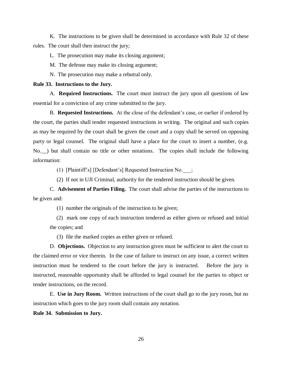K. The instructions to be given shall be determined in accordance with Rule 32 of these rules. The court shall then instruct the jury;

L. The prosecution may make its closing argument;

M. The defense may make its closing argument;

N. The prosecution may make a rebuttal only.

## **Rule 33. Instructions to the Jury.**

A. **Required Instructions.** The court must instruct the jury upon all questions of law essential for a conviction of any crime submitted to the jury.

B. **Requested Instructions.** At the close of the defendant's case, or earlier if ordered by the court, the parties shall tender requested instructions in writing. The original and such copies as may be required by the court shall be given the court and a copy shall be served on opposing party or legal counsel. The original shall have a place for the court to insert a number, (e.g. No.\_\_) but shall contain no title or other notations. The copies shall include the following information:

(1) [Plaintiff's] [Defendant's] Requested Instruction No.\_\_\_;

(2) If not in UJI Criminal, authority for the tendered instruction should be given.

C. **Advisement of Parties Filing.** The court shall advise the parties of the instructions to be given and:

(1) number the originals of the instruction to be given;

 (2) mark one copy of each instruction tendered as either given or refused and initial the copies; and

(3) file the marked copies as either given or refused.

D. **Objections.** Objection to any instruction given must be sufficient to alert the court to the claimed error or vice therein. In the case of failure to instruct on any issue, a correct written instruction must be tendered to the court before the jury is instructed. Before the jury is instructed, reasonable opportunity shall be afforded to legal counsel for the parties to object or tender instructions, on the record.

E. **Use in Jury Room.** Written instructions of the court shall go to the jury room, but no instruction which goes to the jury room shall contain any notation.

**Rule 34. Submission to Jury.**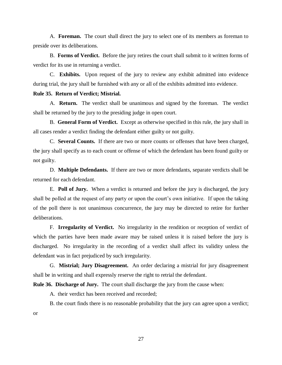A. **Foreman.** The court shall direct the jury to select one of its members as foreman to preside over its deliberations.

B. **Forms of Verdict.** Before the jury retires the court shall submit to it written forms of verdict for its use in returning a verdict.

C. **Exhibits.** Upon request of the jury to review any exhibit admitted into evidence during trial, the jury shall be furnished with any or all of the exhibits admitted into evidence.

## **Rule 35. Return of Verdict; Mistrial.**

A. **Return.** The verdict shall be unanimous and signed by the foreman. The verdict shall be returned by the jury to the presiding judge in open court.

B. **General Form of Verdict.** Except as otherwise specified in this rule, the jury shall in all cases render a verdict finding the defendant either guilty or not guilty.

C. **Several Counts.** If there are two or more counts or offenses that have been charged, the jury shall specify as to each count or offense of which the defendant has been found guilty or not guilty.

D. **Multiple Defendants.** If there are two or more defendants, separate verdicts shall be returned for each defendant.

E. **Poll of Jury.** When a verdict is returned and before the jury is discharged, the jury shall be polled at the request of any party or upon the court's own initiative. If upon the taking of the poll there is not unanimous concurrence, the jury may be directed to retire for further deliberations.

F. **Irregularity of Verdict.** No irregularity in the rendition or reception of verdict of which the parties have been made aware may be raised unless it is raised before the jury is discharged. No irregularity in the recording of a verdict shall affect its validity unless the defendant was in fact prejudiced by such irregularity.

G. **Mistrial; Jury Disagreement.** An order declaring a mistrial for jury disagreement shall be in writing and shall expressly reserve the right to retrial the defendant.

**Rule 36. Discharge of Jury.** The court shall discharge the jury from the cause when:

A. their verdict has been received and recorded;

or

B. the court finds there is no reasonable probability that the jury can agree upon a verdict;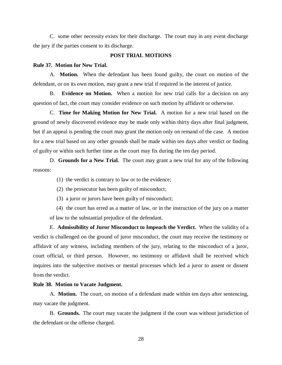C. some other necessity exists for their discharge. The court may in any event discharge the jury if the parties consent to its discharge.

### **POST TRIAL MOTIONS**

#### **Rule 37. Motion for New Trial.**

A. **Motion.** When the defendant has been found guilty, the court on motion of the defendant, or on its own motion, may grant a new trial if required in the interest of justice.

B. **Evidence on Motion.** When a motion for new trial calls for a decision on any question of fact, the court may consider evidence on such motion by affidavit or otherwise.

C. **Time for Making Motion for New Trial.** A motion for a new trial based on the ground of newly discovered evidence may be made only within thirty days after final judgment, but if an appeal is pending the court may grant the motion only on remand of the case. A motion for a new trial based on any other grounds shall be made within ten days after verdict or finding of guilty or within such further time as the court may fix during the ten day period.

D. **Grounds for a New Trial.** The court may grant a new trial for any of the following reasons:

- (1) the verdict is contrary to law or to the evidence;
- (2) the prosecutor has been guilty of misconduct;
- (3) a juror or jurors have been guilty of misconduct;

 (4) the court has erred as a matter of law, or in the instruction of the jury on a matter of law to the substantial prejudice of the defendant.

E. **Admissibility of Juror Misconduct to Impeach the Verdict.** When the validity of a verdict is challenged on the ground of juror misconduct, the court may receive the testimony or affidavit of any witness, including members of the jury, relating to the misconduct of a juror, court official, or third person. However, no testimony or affidavit shall be received which inquires into the subjective motives or mental processes which led a juror to assent or dissent from the verdict.

#### **Rule 38. Motion to Vacate Judgment.**

A. **Motion.** The court, on motion of a defendant made within ten days after sentencing, may vacate the judgment.

B. **Grounds.** The court may vacate the judgment if the court was without jurisdiction of the defendant or the offense charged.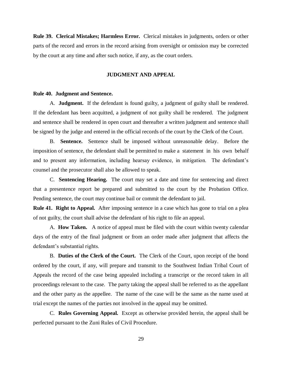**Rule 39. Clerical Mistakes; Harmless Error.** Clerical mistakes in judgments, orders or other parts of the record and errors in the record arising from oversight or omission may be corrected by the court at any time and after such notice, if any, as the court orders.

## **JUDGMENT AND APPEAL**

#### **Rule 40. Judgment and Sentence.**

A. **Judgment.** If the defendant is found guilty, a judgment of guilty shall be rendered. If the defendant has been acquitted, a judgment of not guilty shall be rendered. The judgment and sentence shall be rendered in open court and thereafter a written judgment and sentence shall be signed by the judge and entered in the official records of the court by the Clerk of the Court.

B. **Sentence.** Sentence shall be imposed without unreasonable delay. Before the imposition of sentence, the defendant shall be permitted to make a statement in his own behalf and to present any information, including hearsay evidence, in mitigation. The defendant's counsel and the prosecutor shall also be allowed to speak.

C. **Sentencing Hearing.** The court may set a date and time for sentencing and direct that a presentence report be prepared and submitted to the court by the Probation Office. Pending sentence, the court may continue bail or commit the defendant to jail.

**Rule 41. Right to Appeal.** After imposing sentence in a case which has gone to trial on a plea of not guilty, the court shall advise the defendant of his right to file an appeal.

A. **How Taken.** A notice of appeal must be filed with the court within twenty calendar days of the entry of the final judgment or from an order made after judgment that affects the defendant's substantial rights.

B. **Duties of the Clerk of the Court.** The Clerk of the Court, upon receipt of the bond ordered by the court, if any, will prepare and transmit to the Southwest Indian Tribal Court of Appeals the record of the case being appealed including a transcript or the record taken in all proceedings relevant to the case. The party taking the appeal shall be referred to as the appellant and the other party as the appellee. The name of the case will be the same as the name used at trial except the names of the parties not involved in the appeal may be omitted.

C. **Rules Governing Appeal.** Except as otherwise provided herein, the appeal shall be perfected pursuant to the Zuni Rules of Civil Procedure.